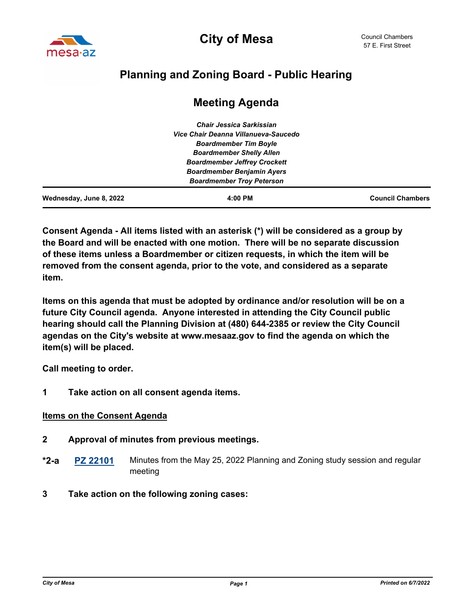

# **Planning and Zoning Board - Public Hearing**

| Wednesday, June 8, 2022 | $4:00$ PM                            | <b>Council Chambers</b> |
|-------------------------|--------------------------------------|-------------------------|
|                         | <b>Boardmember Troy Peterson</b>     |                         |
|                         | <b>Boardmember Benjamin Ayers</b>    |                         |
|                         | <b>Boardmember Jeffrey Crockett</b>  |                         |
|                         | <b>Boardmember Shelly Allen</b>      |                         |
|                         | <b>Boardmember Tim Boyle</b>         |                         |
|                         | Vice Chair Deanna Villanueva-Saucedo |                         |
|                         | <b>Chair Jessica Sarkissian</b>      |                         |

# **Meeting Agenda**

**Consent Agenda - All items listed with an asterisk (\*) will be considered as a group by the Board and will be enacted with one motion. There will be no separate discussion of these items unless a Boardmember or citizen requests, in which the item will be removed from the consent agenda, prior to the vote, and considered as a separate item.** 

**Items on this agenda that must be adopted by ordinance and/or resolution will be on a future City Council agenda. Anyone interested in attending the City Council public hearing should call the Planning Division at (480) 644-2385 or review the City Council agendas on the City's website at www.mesaaz.gov to find the agenda on which the item(s) will be placed.**

**Call meeting to order.**

**1 Take action on all consent agenda items.**

#### **Items on the Consent Agenda**

- **2 Approval of minutes from previous meetings.**
- **[PZ 22101](http://mesa.legistar.com/gateway.aspx?m=l&id=/matter.aspx?key=18695)** Minutes from the May 25, 2022 Planning and Zoning study session and regular meeting **\*2-a**
- **3 Take action on the following zoning cases:**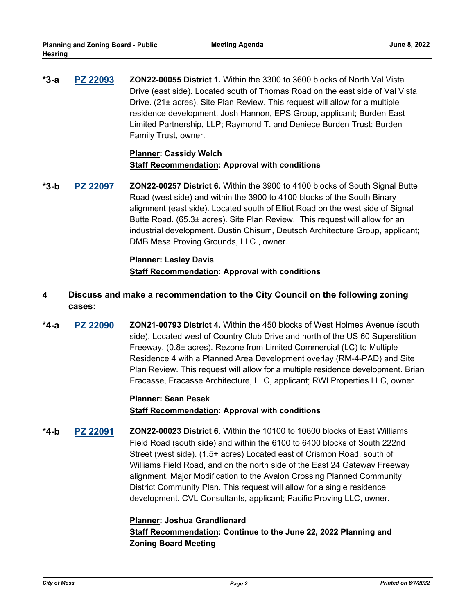**[PZ 22093](http://mesa.legistar.com/gateway.aspx?m=l&id=/matter.aspx?key=18644) ZON22-00055 District 1.** Within the 3300 to 3600 blocks of North Val Vista Drive (east side). Located south of Thomas Road on the east side of Val Vista Drive. (21± acres). Site Plan Review. This request will allow for a multiple residence development. Josh Hannon, EPS Group, applicant; Burden East Limited Partnership, LLP; Raymond T. and Deniece Burden Trust; Burden Family Trust, owner. **\*3-a**

## **Planner: Cassidy Welch Staff Recommendation: Approval with conditions**

**[PZ 22097](http://mesa.legistar.com/gateway.aspx?m=l&id=/matter.aspx?key=18648) ZON22-00257 District 6.** Within the 3900 to 4100 blocks of South Signal Butte Road (west side) and within the 3900 to 4100 blocks of the South Binary alignment (east side). Located south of Elliot Road on the west side of Signal Butte Road. (65.3± acres). Site Plan Review. This request will allow for an industrial development. Dustin Chisum, Deutsch Architecture Group, applicant; DMB Mesa Proving Grounds, LLC., owner. **\*3-b**

#### **Planner: Lesley Davis Staff Recommendation: Approval with conditions**

- **4 Discuss and make a recommendation to the City Council on the following zoning cases:**
- **[PZ 22090](http://mesa.legistar.com/gateway.aspx?m=l&id=/matter.aspx?key=18642) ZON21-00793 District 4.** Within the 450 blocks of West Holmes Avenue (south side). Located west of Country Club Drive and north of the US 60 Superstition Freeway. (0.8± acres). Rezone from Limited Commercial (LC) to Multiple Residence 4 with a Planned Area Development overlay (RM-4-PAD) and Site Plan Review. This request will allow for a multiple residence development. Brian Fracasse, Fracasse Architecture, LLC, applicant; RWI Properties LLC, owner. **\*4-a**

## **Planner: Sean Pesek Staff Recommendation: Approval with conditions**

**[PZ 22091](http://mesa.legistar.com/gateway.aspx?m=l&id=/matter.aspx?key=18643) ZON22-00023 District 6.** Within the 10100 to 10600 blocks of East Williams Field Road (south side) and within the 6100 to 6400 blocks of South 222nd Street (west side). (1.5+ acres) Located east of Crismon Road, south of Williams Field Road, and on the north side of the East 24 Gateway Freeway alignment. Major Modification to the Avalon Crossing Planned Community District Community Plan. This request will allow for a single residence development. CVL Consultants, applicant; Pacific Proving LLC, owner. **\*4-b**

## **Planner: Joshua Grandlienard Staff Recommendation: Continue to the June 22, 2022 Planning and Zoning Board Meeting**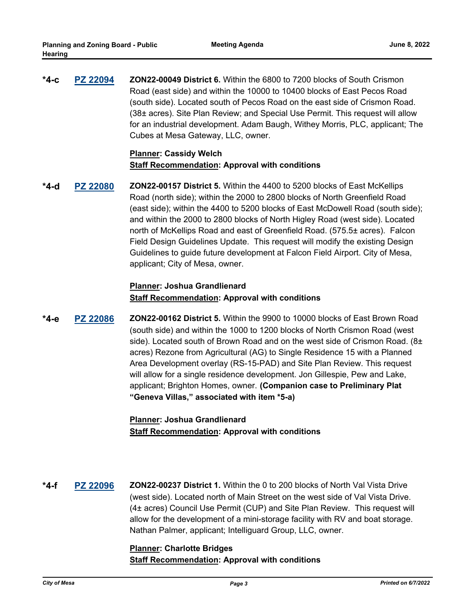**[PZ 22094](http://mesa.legistar.com/gateway.aspx?m=l&id=/matter.aspx?key=18645) ZON22-00049 District 6.** Within the 6800 to 7200 blocks of South Crismon Road (east side) and within the 10000 to 10400 blocks of East Pecos Road (south side). Located south of Pecos Road on the east side of Crismon Road. (38± acres). Site Plan Review; and Special Use Permit. This request will allow for an industrial development. Adam Baugh, Withey Morris, PLC, applicant; The Cubes at Mesa Gateway, LLC, owner. **\*4-c**

#### **Planner: Cassidy Welch Staff Recommendation: Approval with conditions**

**[PZ 22080](http://mesa.legistar.com/gateway.aspx?m=l&id=/matter.aspx?key=18490) ZON22-00157 District 5.** Within the 4400 to 5200 blocks of East McKellips Road (north side); within the 2000 to 2800 blocks of North Greenfield Road (east side); within the 4400 to 5200 blocks of East McDowell Road (south side); and within the 2000 to 2800 blocks of North Higley Road (west side). Located north of McKellips Road and east of Greenfield Road. (575.5± acres). Falcon Field Design Guidelines Update. This request will modify the existing Design Guidelines to guide future development at Falcon Field Airport. City of Mesa, applicant; City of Mesa, owner. **\*4-d**

## **Planner: Joshua Grandlienard Staff Recommendation: Approval with conditions**

**[PZ 22086](http://mesa.legistar.com/gateway.aspx?m=l&id=/matter.aspx?key=18586) ZON22-00162 District 5.** Within the 9900 to 10000 blocks of East Brown Road (south side) and within the 1000 to 1200 blocks of North Crismon Road (west side). Located south of Brown Road and on the west side of Crismon Road.  $(8\pm)$ acres) Rezone from Agricultural (AG) to Single Residence 15 with a Planned Area Development overlay (RS-15-PAD) and Site Plan Review. This request will allow for a single residence development. Jon Gillespie, Pew and Lake, applicant; Brighton Homes, owner. **(Companion case to Preliminary Plat "Geneva Villas," associated with item \*5-a) \*4-e**

## **Planner: Joshua Grandlienard Staff Recommendation: Approval with conditions**

**[PZ 22096](http://mesa.legistar.com/gateway.aspx?m=l&id=/matter.aspx?key=18647) ZON22-00237 District 1.** Within the 0 to 200 blocks of North Val Vista Drive (west side). Located north of Main Street on the west side of Val Vista Drive. (4± acres) Council Use Permit (CUP) and Site Plan Review. This request will allow for the development of a mini-storage facility with RV and boat storage. Nathan Palmer, applicant; Intelliguard Group, LLC, owner. **\*4-f**

## **Planner: Charlotte Bridges Staff Recommendation: Approval with conditions**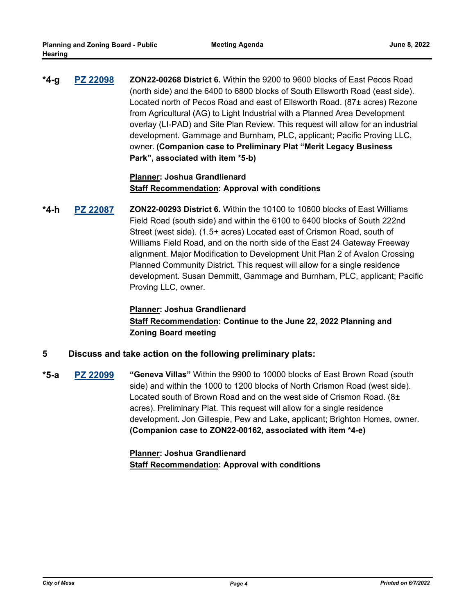**[PZ 22098](http://mesa.legistar.com/gateway.aspx?m=l&id=/matter.aspx?key=18649) ZON22-00268 District 6.** Within the 9200 to 9600 blocks of East Pecos Road (north side) and the 6400 to 6800 blocks of South Ellsworth Road (east side). Located north of Pecos Road and east of Ellsworth Road. (87± acres) Rezone from Agricultural (AG) to Light Industrial with a Planned Area Development overlay (LI-PAD) and Site Plan Review. This request will allow for an industrial development. Gammage and Burnham, PLC, applicant; Pacific Proving LLC, owner. **(Companion case to Preliminary Plat "Merit Legacy Business Park", associated with item \*5-b) \*4-g**

#### **Planner: Joshua Grandlienard Staff Recommendation: Approval with conditions**

**[PZ 22087](http://mesa.legistar.com/gateway.aspx?m=l&id=/matter.aspx?key=18587) ZON22-00293 District 6.** Within the 10100 to 10600 blocks of East Williams Field Road (south side) and within the 6100 to 6400 blocks of South 222nd Street (west side). (1.5+ acres) Located east of Crismon Road, south of Williams Field Road, and on the north side of the East 24 Gateway Freeway alignment. Major Modification to Development Unit Plan 2 of Avalon Crossing Planned Community District. This request will allow for a single residence development. Susan Demmitt, Gammage and Burnham, PLC, applicant; Pacific Proving LLC, owner. **\*4-h**

## **Planner: Joshua Grandlienard Staff Recommendation: Continue to the June 22, 2022 Planning and Zoning Board meeting**

#### **5 Discuss and take action on the following preliminary plats:**

**[PZ 22099](http://mesa.legistar.com/gateway.aspx?m=l&id=/matter.aspx?key=18673) "Geneva Villas"** Within the 9900 to 10000 blocks of East Brown Road (south side) and within the 1000 to 1200 blocks of North Crismon Road (west side). Located south of Brown Road and on the west side of Crismon Road. (8± acres). Preliminary Plat. This request will allow for a single residence development. Jon Gillespie, Pew and Lake, applicant; Brighton Homes, owner. **(Companion case to ZON22-00162, associated with item \*4-e) \*5-a**

## **Planner: Joshua Grandlienard Staff Recommendation: Approval with conditions**